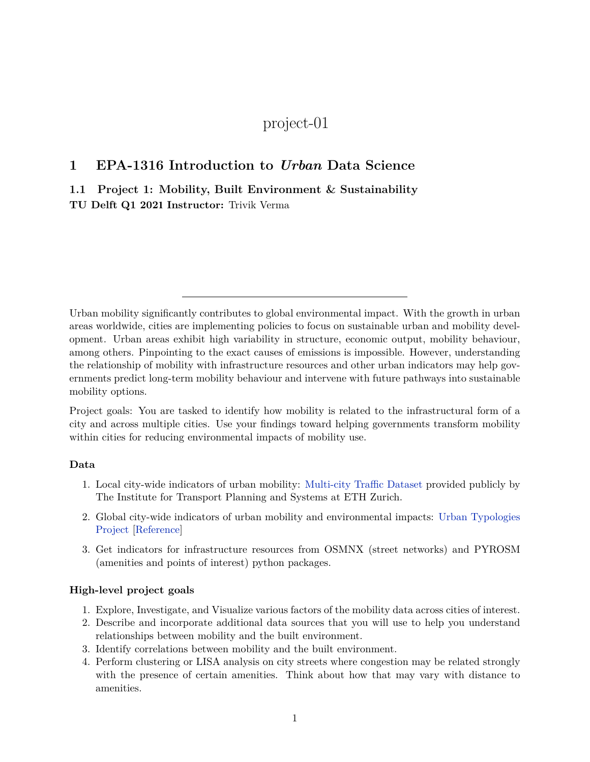## project-01

## **1 EPA-1316 Introduction to** *Urban* **Data Science**

**1.1 Project 1: Mobility, Built Environment & Sustainability TU Delft Q1 2021 Instructor:** Trivik Verma

Urban mobility significantly contributes to global environmental impact. With the growth in urban areas worldwide, cities are implementing policies to focus on sustainable urban and mobility development. Urban areas exhibit high variability in structure, economic output, mobility behaviour, among others. Pinpointing to the exact causes of emissions is impossible. However, understanding the relationship of mobility with infrastructure resources and other urban indicators may help governments predict long-term mobility behaviour and intervene with future pathways into sustainable mobility options.

Project goals: You are tasked to identify how mobility is related to the infrastructural form of a city and across multiple cities. Use your findings toward helping governments transform mobility within cities for reducing environmental impacts of mobility use.

## **Data**

- 1. Local city-wide indicators of urban mobility: [Multi-city Traffic Dataset](https://utd19.ethz.ch/) provided publicly by The Institute for Transport Planning and Systems at ETH Zurich.
- 2. Global city-wide indicators of urban mobility and environmental impacts: [Urban Typologies](http://web.mit.edu/afs/athena.mit.edu/org/i/its-lab/www/dashboard/new%20dashboard/index.html) [Project](http://web.mit.edu/afs/athena.mit.edu/org/i/its-lab/www/dashboard/new%20dashboard/index.html) [[Reference\]](https://iopscience.iop.org/article/10.1088/1748-9326/ab22c7)
- 3. Get indicators for infrastructure resources from OSMNX (street networks) and PYROSM (amenities and points of interest) python packages.

## **High-level project goals**

- 1. Explore, Investigate, and Visualize various factors of the mobility data across cities of interest.
- 2. Describe and incorporate additional data sources that you will use to help you understand relationships between mobility and the built environment.
- 3. Identify correlations between mobility and the built environment.
- 4. Perform clustering or LISA analysis on city streets where congestion may be related strongly with the presence of certain amenities. Think about how that may vary with distance to amenities.